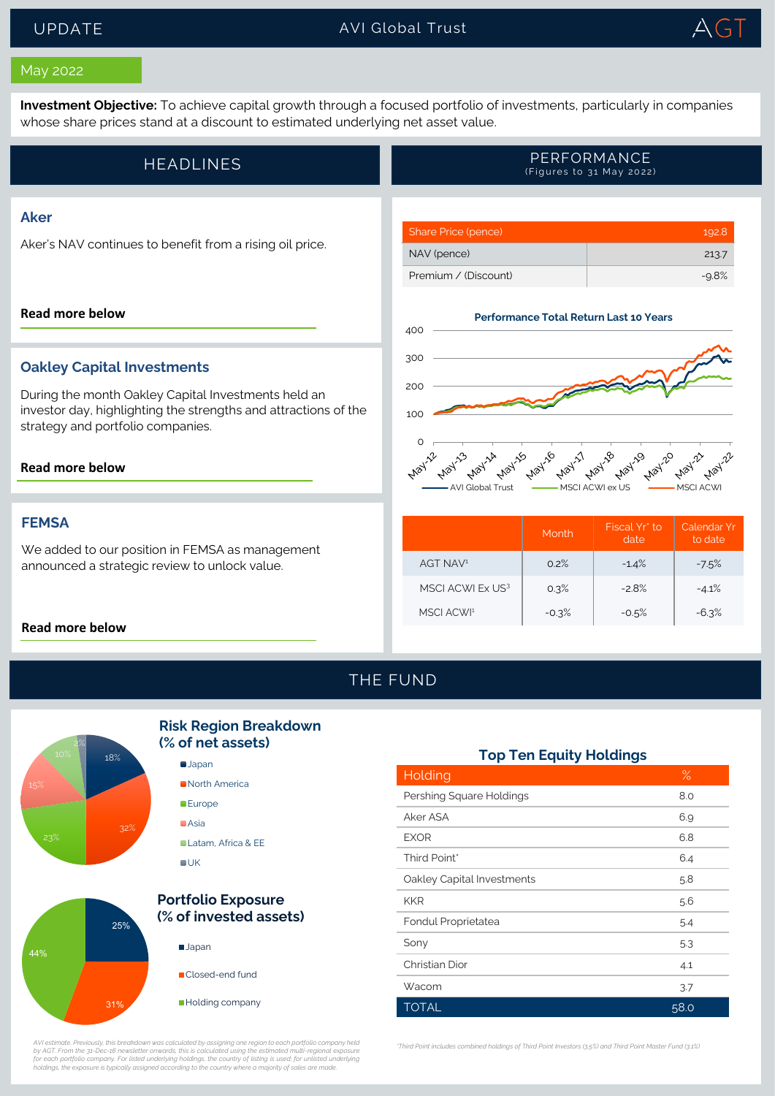## UPDATE AVI Global Trust TrustTrust



### May 2022

**Investment Objective:** To achieve capital growth through a focused portfolio of investments, particularly in companies whose share prices stand at a discount to estimated underlying net asset value.

| HEADLINES' | PERFORMANCE<br>(Figures to 31 May 2022) |
|------------|-----------------------------------------|
|------------|-----------------------------------------|

## **Aker**

Aker's NAV continues to benefit from a rising oil price.

#### **[Read more below](#page-1-0)**

### **Oakley Capital Investments**

During the month Oakley Capital Investments held an investor day, highlighting the strengths and attractions of the strategy and portfolio companies.

#### **[Read more below](#page-1-0)**

### **FEMSA**

We added to our position in FEMSA as management announced a strategic review to unlock value.

#### **[Read more below](#page-1-0)**



Share Price (pence) 192.8 NAV (pence) 213.7 Premium / (Discount) -9.8%

|                        | Month   | Fiscal Yr* to<br>date | Calendar Yr<br>to date |
|------------------------|---------|-----------------------|------------------------|
| AGT NAV <sup>1</sup>   | 0.2%    | $-1.4%$               | $-7.5%$                |
| MSCI ACWI Ex US3       | 0.3%    | $-2.8%$               | $-4.1%$                |
| MSCI ACWI <sup>1</sup> | $-0.3%$ | $-0.5%$               | $-6.3%$                |

## THE FUND



44%

## **Risk Region Breakdown (% of net assets)**





AVI estimate. Previously, this breakdown was calculated by assigning one region to each portfolio company held<br>by AGT. From the 31-Dec-16 newsletter onwards, this is calculated using the estimated multi-regional exposure<br>f

### **Top Ten Equity Holdings**

| Holding                    | $\%$ |
|----------------------------|------|
| Pershing Square Holdings   | 8.0  |
| Aker ASA                   | 6.9  |
| <b>EXOR</b>                | 6.8  |
| Third Point*               | 6.4  |
| Oakley Capital Investments | 5.8  |
| <b>KKR</b>                 | 5.6  |
| Fondul Proprietatea        | 5.4  |
| Sony                       | 5.3  |
| Christian Dior             | 4.1  |
| Wacom                      | 3.7  |
| <b>TOTAL</b>               | 58.0 |

*\*Third Point includes combined holdings of Third Point Investors (3.5%) and Third Point Master Fund (3.1%)*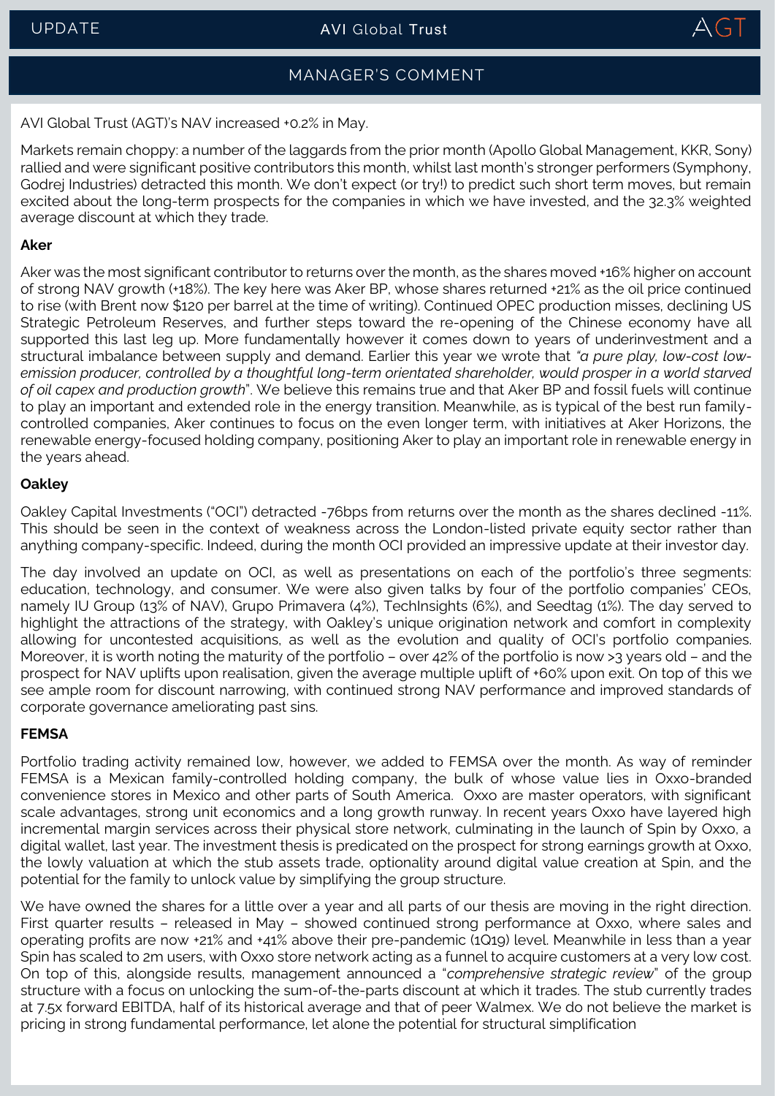

# MANAGER'S COMMENT

<span id="page-1-0"></span>AVI Global Trust (AGT)'s NAV increased +0.2% in May.

Markets remain choppy: a number of the laggards from the prior month (Apollo Global Management, KKR, Sony) rallied and were significant positive contributors this month, whilst last month's stronger performers (Symphony, Godrej Industries) detracted this month. We don't expect (or try!) to predict such short term moves, but remain excited about the long-term prospects for the companies in which we have invested, and the 32.3% weighted average discount at which they trade.

## **Aker**

Aker was the most significant contributor to returns over the month, as the shares moved +16% higher on account of strong NAV growth (+18%). The key here was Aker BP, whose shares returned +21% as the oil price continued to rise (with Brent now \$120 per barrel at the time of writing). Continued OPEC production misses, declining US Strategic Petroleum Reserves, and further steps toward the re-opening of the Chinese economy have all supported this last leg up. More fundamentally however it comes down to years of underinvestment and a structural imbalance between supply and demand. Earlier this year we wrote that *"a pure play, low-cost low*emission producer, controlled by a thoughtful long-term orientated shareholder, would prosper in a world starved *of oil capex and production growth*". We believe this remains true and that Aker BP and fossil fuels will continue to play an important and extended role in the energy transition. Meanwhile, as is typical of the best run familycontrolled companies, Aker continues to focus on the even longer term, with initiatives at Aker Horizons, the renewable energy-focused holding company, positioning Aker to play an important role in renewable energy in the years ahead.

## **Oakley**

Oakley Capital Investments ("OCI") detracted -76bps from returns over the month as the shares declined -11%. This should be seen in the context of weakness across the London-listed private equity sector rather than anything company-specific. Indeed, during the month OCI provided an impressive update at their investor day.

The day involved an update on OCI, as well as presentations on each of the portfolio's three segments: education, technology, and consumer. We were also given talks by four of the portfolio companies' CEOs, namely IU Group (13% of NAV), Grupo Primavera (4%), TechInsights (6%), and Seedtag (1%). The day served to highlight the attractions of the strategy, with Oakley's unique origination network and comfort in complexity allowing for uncontested acquisitions, as well as the evolution and quality of OCI's portfolio companies. Moreover, it is worth noting the maturity of the portfolio – over 42% of the portfolio is now >3 years old – and the prospect for NAV uplifts upon realisation, given the average multiple uplift of +60% upon exit. On top of this we see ample room for discount narrowing, with continued strong NAV performance and improved standards of corporate governance ameliorating past sins.

## **FEMSA**

Portfolio trading activity remained low, however, we added to FEMSA over the month. As way of reminder FEMSA is a Mexican family-controlled holding company, the bulk of whose value lies in Oxxo-branded convenience stores in Mexico and other parts of South America. Oxxo are master operators, with significant scale advantages, strong unit economics and a long growth runway. In recent years Oxxo have layered high incremental margin services across their physical store network, culminating in the launch of Spin by Oxxo, a digital wallet, last year. The investment thesis is predicated on the prospect for strong earnings growth at Oxxo, the lowly valuation at which the stub assets trade, optionality around digital value creation at Spin, and the potential for the family to unlock value by simplifying the group structure.

We have owned the shares for a little over a year and all parts of our thesis are moving in the right direction. First quarter results – released in May – showed continued strong performance at Oxxo, where sales and operating profits are now +21% and +41% above their pre-pandemic (1Q19) level. Meanwhile in less than a year Spin has scaled to 2m users, with Oxxo store network acting as a funnel to acquire customers at a very low cost. On top of this, alongside results, management announced a "*comprehensive strategic review*" of the group structure with a focus on unlocking the sum-of-the-parts discount at which it trades. The stub currently trades at 7.5x forward EBITDA, half of its historical average and that of peer Walmex. We do not believe the market is pricing in strong fundamental performance, let alone the potential for structural simplification